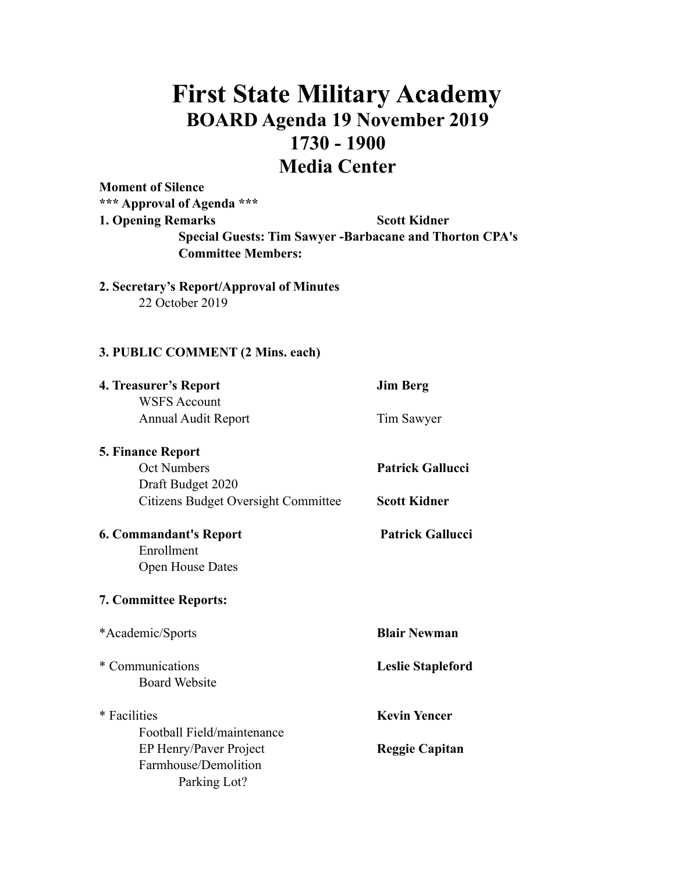# **First State Military Academy BOARD Agenda 19 November 2019 1730 - 1900 Media Center**

**Moment of Silence \*\*\* Approval of Agenda \*\*\* 1. Opening Remarks Scott Kidner Special Guests: Tim Sawyer -Barbacane and Thorton CPA's Committee Members:** 

**2. Secretary's Report/Approval of Minutes**  22 October 2019

### **3. PUBLIC COMMENT (2 Mins. each)**

| 4. Treasurer's Report                      | <b>Jim Berg</b>          |
|--------------------------------------------|--------------------------|
| <b>WSFS Account</b>                        |                          |
| <b>Annual Audit Report</b>                 | Tim Sawyer               |
| <b>5. Finance Report</b>                   |                          |
| <b>Oct Numbers</b>                         | <b>Patrick Gallucci</b>  |
| Draft Budget 2020                          |                          |
| <b>Citizens Budget Oversight Committee</b> | <b>Scott Kidner</b>      |
| <b>6. Commandant's Report</b>              | <b>Patrick Gallucci</b>  |
| Enrollment                                 |                          |
| <b>Open House Dates</b>                    |                          |
| 7. Committee Reports:                      |                          |
| *Academic/Sports                           | <b>Blair Newman</b>      |
| * Communications                           | <b>Leslie Stapleford</b> |
| <b>Board Website</b>                       |                          |
| * Facilities                               | <b>Kevin Yencer</b>      |
| Football Field/maintenance                 |                          |
| EP Henry/Paver Project                     | <b>Reggie Capitan</b>    |
| Farmhouse/Demolition                       |                          |
| Parking Lot?                               |                          |